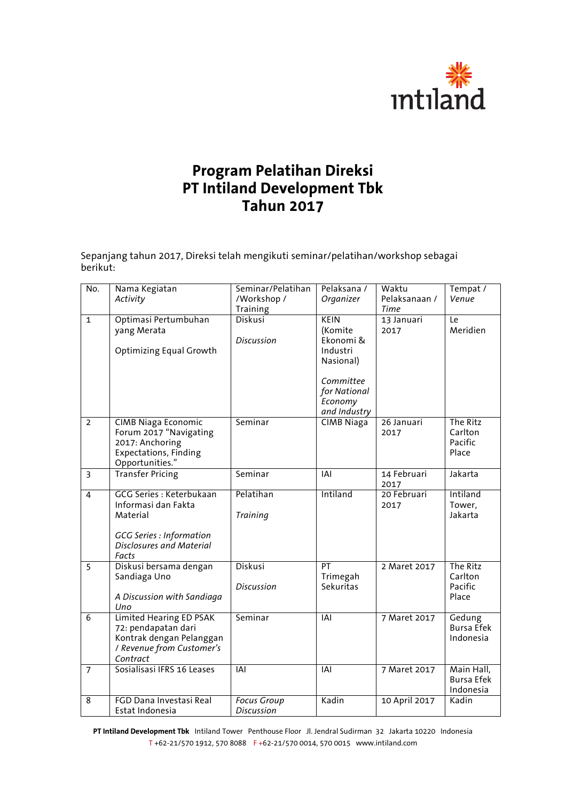

## **Program Pelatihan Direksi PT Intiland Development Tbk Tahun 2017**

Sepanjang tahun 2017, Direksi telah mengikuti seminar/pelatihan/workshop sebagai berikut:

| $\overline{\text{No}}$ . | Nama Kegiatan<br>Activity                                                                                                           | Seminar/Pelatihan<br>/Workshop /<br>Training | Pelaksana /<br>Organizer                                                                                      | Waktu<br>Pelaksanaan /<br>Time | Tempat /<br>Venue                            |
|--------------------------|-------------------------------------------------------------------------------------------------------------------------------------|----------------------------------------------|---------------------------------------------------------------------------------------------------------------|--------------------------------|----------------------------------------------|
| $\mathbf{1}$             | Optimasi Pertumbuhan<br>yang Merata<br>Optimizing Equal Growth                                                                      | <b>Diskusi</b><br><b>Discussion</b>          | KEIN<br>(Komite<br>Ekonomi &<br>Industri<br>Nasional)<br>Committee<br>for National<br>Economy<br>and Industry | 13 Januari<br>2017             | Le<br>Meridien                               |
| 2                        | <b>CIMB Niaga Economic</b><br>Forum 2017 "Navigating<br>2017: Anchoring<br><b>Expectations, Finding</b><br>Opportunities."          | Seminar                                      | <b>CIMB Niaga</b>                                                                                             | 26 Januari<br>2017             | The Ritz<br>Carlton<br>Pacific<br>Place      |
| $\overline{3}$           | <b>Transfer Pricing</b>                                                                                                             | Seminar                                      | <b>IAI</b>                                                                                                    | 14 Februari<br>2017            | Jakarta                                      |
| $\overline{4}$           | GCG Series : Keterbukaan<br>Informasi dan Fakta<br>Material<br><b>GCG Series</b> : Information<br>Disclosures and Material<br>Facts | Pelatihan<br><b>Training</b>                 | Intiland                                                                                                      | 20 Februari<br>2017            | Intiland<br>Tower,<br>Jakarta                |
| 5                        | Diskusi bersama dengan<br>Sandiaga Uno<br>A Discussion with Sandiaga<br>Uno                                                         | Diskusi<br><b>Discussion</b>                 | PT<br>Trimegah<br>Sekuritas                                                                                   | 2 Maret 2017                   | The Ritz<br>Carlton<br>Pacific<br>Place      |
| $\overline{6}$           | Limited Hearing ED PSAK<br>72: pendapatan dari<br>Kontrak dengan Pelanggan<br>/ Revenue from Customer's<br>Contract                 | Seminar                                      | IAI                                                                                                           | 7 Maret 2017                   | Gedung<br><b>Bursa Efek</b><br>Indonesia     |
| $\overline{7}$           | Sosialisasi IFRS 16 Leases                                                                                                          | $\overline{IAI}$                             | <b>IAI</b>                                                                                                    | 7 Maret 2017                   | Main Hall,<br><b>Bursa Efek</b><br>Indonesia |
| 8                        | FGD Dana Investasi Real<br>Estat Indonesia                                                                                          | Focus Group<br><b>Discussion</b>             | Kadin                                                                                                         | 10 April 2017                  | Kadin                                        |

**PT Intiland Development Tbk** Intiland Tower Penthouse Floor Jl. Jendral Sudirman 32 Jakarta 10220 Indonesia T +62-21/570 1912, 570 8088 F +62-21/570 0014, 570 0015 www.intiland.com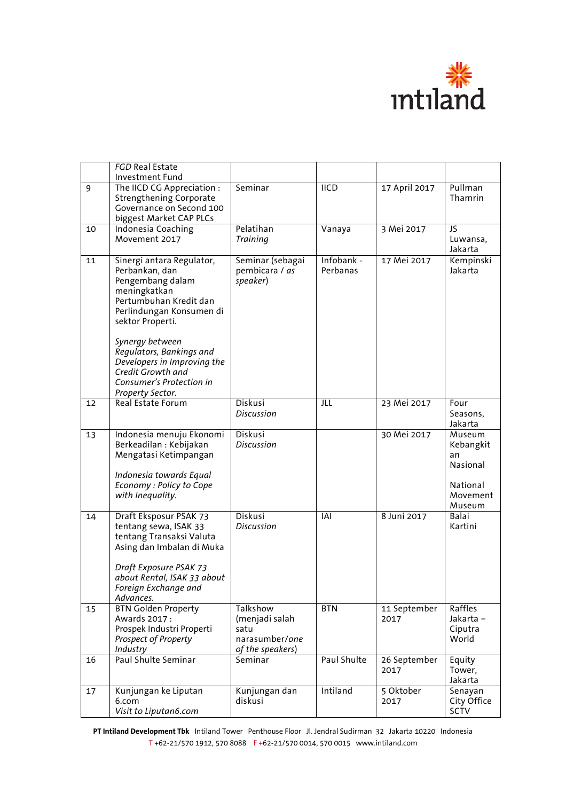

|    | <b>FGD Real Estate</b><br>Investment Fund                                                                                                                                                                                                                                                |                                                                          |                        |                      |                                                                                    |
|----|------------------------------------------------------------------------------------------------------------------------------------------------------------------------------------------------------------------------------------------------------------------------------------------|--------------------------------------------------------------------------|------------------------|----------------------|------------------------------------------------------------------------------------|
| 9  | The IICD CG Appreciation :<br><b>Strengthening Corporate</b><br>Governance on Second 100<br>biggest Market CAP PLCs                                                                                                                                                                      | Seminar                                                                  | $\overline{IICD}$      | 17 April 2017        | Pullman<br>Thamrin                                                                 |
| 10 | <b>Indonesia Coaching</b><br>Movement 2017                                                                                                                                                                                                                                               | Pelatihan<br><b>Training</b>                                             | Vanaya                 | 3 Mei 2017           | JS<br>Luwansa,<br>Jakarta                                                          |
| 11 | Sinergi antara Regulator,<br>Perbankan, dan<br>Pengembang dalam<br>meningkatkan<br>Pertumbuhan Kredit dan<br>Perlindungan Konsumen di<br>sektor Properti.<br>Synergy between<br>Regulators, Bankings and<br>Developers in Improving the<br>Credit Growth and<br>Consumer's Protection in | Seminar (sebagai<br>pembicara / as<br>speaker)                           | Infobank -<br>Perbanas | 17 Mei 2017          | Kempinski<br>Jakarta                                                               |
| 12 | Property Sector.<br>Real Estate Forum                                                                                                                                                                                                                                                    | Diskusi<br><b>Discussion</b>                                             | JLL                    | 23 Mei 2017          | Four<br>Seasons,                                                                   |
| 13 | Indonesia menuju Ekonomi<br>Berkeadilan: Kebijakan<br>Mengatasi Ketimpangan<br>Indonesia towards Equal<br>Economy : Policy to Cope<br>with Inequality.                                                                                                                                   | Diskusi<br><b>Discussion</b>                                             |                        | 30 Mei 2017          | Jakarta<br>Museum<br>Kebangkit<br>an<br>Nasional<br>National<br>Movement<br>Museum |
| 14 | Draft Eksposur PSAK 73<br>tentang sewa, ISAK 33<br>tentang Transaksi Valuta<br>Asing dan Imbalan di Muka<br>Draft Exposure PSAK 73<br>about Rental, ISAK 33 about<br>Foreign Exchange and<br>Advances.                                                                                   | Diskusi<br><b>Discussion</b>                                             | IAI                    | 8 Juni 2017          | <b>Balai</b><br>Kartini                                                            |
| 15 | <b>BTN Golden Property</b><br>Awards 2017 :<br>Prospek Industri Properti<br>Prospect of Property<br>Industry                                                                                                                                                                             | Talkshow<br>(menjadi salah<br>satu<br>narasumber/one<br>of the speakers) | <b>BTN</b>             | 11 September<br>2017 | Raffles<br>Jakarta –<br>Ciputra<br>World                                           |
| 16 | Paul Shulte Seminar                                                                                                                                                                                                                                                                      | Seminar                                                                  | Paul Shulte            | 26 September<br>2017 | Equity<br>Tower,<br>Jakarta                                                        |
| 17 | Kunjungan ke Liputan<br>6.com<br>Visit to Liputan6.com                                                                                                                                                                                                                                   | Kunjungan dan<br>diskusi                                                 | Intiland               | 5 Oktober<br>2017    | Senayan<br>City Office<br><b>SCTV</b>                                              |

**PT Intiland Development Tbk** Intiland Tower Penthouse Floor Jl. Jendral Sudirman 32 Jakarta 10220 Indonesia T +62-21/570 1912, 570 8088 F +62-21/570 0014, 570 0015 www.intiland.com